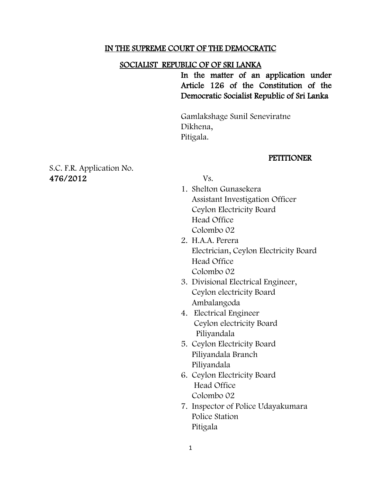#### IN THE SUPREME COURT OF THE DEMOCRATIC

#### SOCIALIST REPUBLIC OF OF SRI LANKA

In the matter of an application under Article 126 of the Constitution of the Democratic Socialist Republic of Sri Lanka

Gamlakshage Sunil Seneviratne Dikhena, Pitigala.

#### **PETITIONER**

S.C. F.R. Application No. 476/2012 Vs.

- 1. Shelton Gunasekera Assistant Investigation Officer Ceylon Electricity Board Head Office Colombo 02
- 2. H.A.A. Perera Electrician, Ceylon Electricity Board Head Office Colombo 02
- 3. Divisional Electrical Engineer, Ceylon electricity Board Ambalangoda
- 4. Electrical Engineer Ceylon electricity Board Piliyandala
- 5. Ceylon Electricity Board Piliyandala Branch Piliyandala
- 6. Ceylon Electricity Board Head Office Colombo 02
- 7. Inspector of Police Udayakumara Police Station Pitigala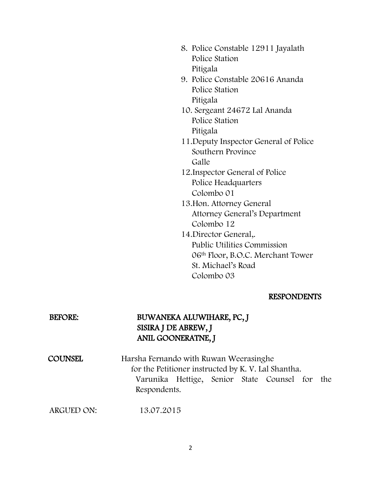- 8. Police Constable 12911 Jayalath Police Station Pitigala
- 9. Police Constable 20616 Ananda Police Station Pitigala
- 10. Sergeant 24672 Lal Ananda Police Station Pitigala
- 11.Deputy Inspector General of Police Southern Province Galle
- 12.Inspector General of Police Police Headquarters Colombo 01
- 13.Hon. Attorney General Attorney General"s Department Colombo 12
- 14.Director General,. Public Utilities Commission 06th Floor, B.O.C. Merchant Tower St. Michael"s Road Colombo 03

### RESPONDENTS

## BEFORE: BUWANEKA ALUWIHARE, PC, J SISIRA J DE ABREW, J ANIL GOONERATNE, J

COUNSEL Harsha Fernando with Ruwan Weerasinghe for the Petitioner instructed by K. V. Lal Shantha. Varunika Hettige, Senior State Counsel for the Respondents.

ARGUED ON: 13.07.2015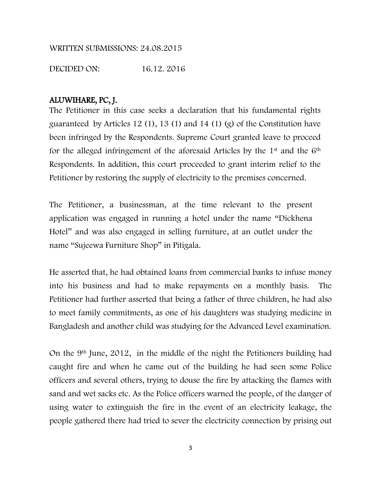### WRITTEN SUBMISSIONS: 24.08.2015

DECIDED ON: 16.12. 2016

## ALUWIHARE, PC, J.

The Petitioner in this case seeks a declaration that his fundamental rights guaranteed by Articles 12 (1), 13 (1) and 14 (1) (g) of the Constitution have been infringed by the Respondents. Supreme Court granted leave to proceed for the alleged infringement of the aforesaid Articles by the 1st and the 6th Respondents. In addition, this court proceeded to grant interim relief to the Petitioner by restoring the supply of electricity to the premises concerned.

The Petitioner, a businessman, at the time relevant to the present application was engaged in running a hotel under the name "Dickhena Hotel" and was also engaged in selling furniture, at an outlet under the name "Sujeewa Furniture Shop" in Pitigala.

He asserted that, he had obtained loans from commercial banks to infuse money into his business and had to make repayments on a monthly basis. The Petitioner had further asserted that being a father of three children, he had also to meet family commitments, as one of his daughters was studying medicine in Bangladesh and another child was studying for the Advanced Level examination.

On the 9th June, 2012, in the middle of the night the Petitioners building had caught fire and when he came out of the building he had seen some Police officers and several others, trying to douse the fire by attacking the flames with sand and wet sacks etc. As the Police officers warned the people, of the danger of using water to extinguish the fire in the event of an electricity leakage, the people gathered there had tried to sever the electricity connection by prising out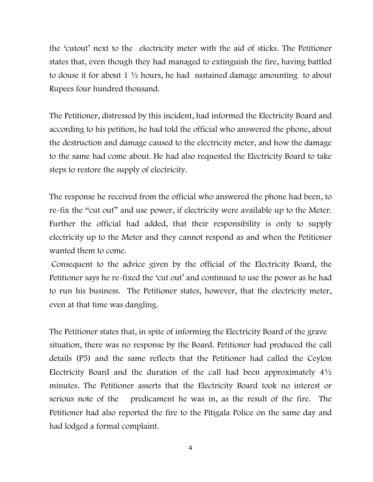the "cutout" next to the electricity meter with the aid of sticks. The Petitioner states that, even though they had managed to extinguish the fire, having battled to douse it for about 1  $\frac{1}{2}$  hours, he had sustained damage amounting to about Rupees four hundred thousand.

The Petitioner, distressed by this incident, had informed the Electricity Board and according to his petition, he had told the official who answered the phone, about the destruction and damage caused to the electricity meter, and how the damage to the same had come about. He had also requested the Electricity Board to take steps to restore the supply of electricity.

The response he received from the official who answered the phone had been, to re-fix the "cut out" and use power, if electricity were available up to the Meter. Further the official had added, that their responsibility is only to supply electricity up to the Meter and they cannot respond as and when the Petitioner wanted them to come.

Consequent to the advice given by the official of the Electricity Board, the Petitioner says he re-fixed the "cut out" and continued to use the power as he had to run his business. The Petitioner states, however, that the electricity meter, even at that time was dangling.

The Petitioner states that, in spite of informing the Electricity Board of the grave situation, there was no response by the Board. Petitioner had produced the call details (P5) and the same reflects that the Petitioner had called the Ceylon Electricity Board and the duration of the call had been approximately  $4\frac{1}{2}$ minutes. The Petitioner asserts that the Electricity Board took no interest or serious note of the predicament he was in, as the result of the fire. The Petitioner had also reported the fire to the Pitigala Police on the same day and had lodged a formal complaint.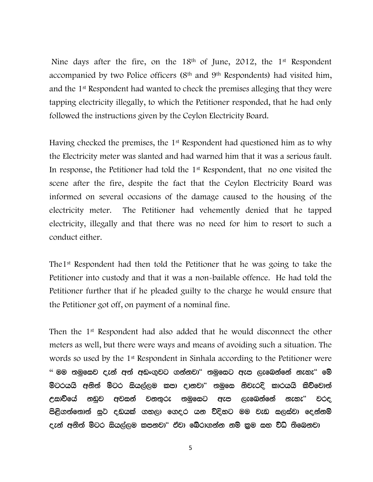Nine days after the fire, on the 18<sup>th</sup> of June, 2012, the 1<sup>st</sup> Respondent accompanied by two Police officers (8th and 9th Respondents) had visited him, and the 1st Respondent had wanted to check the premises alleging that they were tapping electricity illegally, to which the Petitioner responded, that he had only followed the instructions given by the Ceylon Electricity Board.

Having checked the premises, the 1<sup>st</sup> Respondent had questioned him as to why the Electricity meter was slanted and had warned him that it was a serious fault. In response, the Petitioner had told the 1st Respondent, that no one visited the scene after the fire, despite the fact that the Ceylon Electricity Board was informed on several occasions of the damage caused to the housing of the electricity meter. The Petitioner had vehemently denied that he tapped electricity, illegally and that there was no need for him to resort to such a conduct either.

The1st Respondent had then told the Petitioner that he was going to take the Petitioner into custody and that it was a non-bailable offence. He had told the Petitioner further that if he pleaded guilty to the charge he would ensure that the Petitioner got off, on payment of a nominal fine.

Then the 1st Respondent had also added that he would disconnect the other meters as well, but there were ways and means of avoiding such a situation. The words so used by the 1<sup>st</sup> Respondent in Sinhala according to the Petitioner were  $\lq\lq$  මම තමුසෙව දැන් අත් අඩංගුවට ගන්නවා $\lq\lq$  තමුසෙට ඇප ලැබෙන්නේ නැහැ $\lq\lq$  මෙ ම්ටරයයි අනිත් ම්ටර සියල්ලම කපා දානවා" තමුසෙ නිවැරදි කාරයයි කිව්වොත් උසාව්යේ නඩුව අවසන් වනතුරු තමසෙට ඇප ලැබෙන්නේ නැහැ" වරද පිළිගත්තොත් සුට දඬුයක් ගහලා ගෙදර යන විදිහට මම වැඩ සලස්වා දෙන්නම් දැන් අනිත් ම්ටර සියල්ලම කපනවා" ඒවා බේරාගන්න නම් කුම සහ විධි තිබෙනවා

5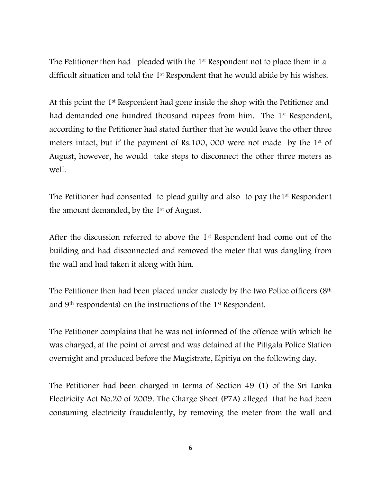The Petitioner then had pleaded with the 1<sup>st</sup> Respondent not to place them in a difficult situation and told the 1st Respondent that he would abide by his wishes.

At this point the 1st Respondent had gone inside the shop with the Petitioner and had demanded one hundred thousand rupees from him. The 1<sup>st</sup> Respondent, according to the Petitioner had stated further that he would leave the other three meters intact, but if the payment of Rs.100, 000 were not made by the 1st of August, however, he would take steps to disconnect the other three meters as well.

The Petitioner had consented to plead guilty and also to pay the 1<sup>st</sup> Respondent the amount demanded, by the 1st of August.

After the discussion referred to above the 1st Respondent had come out of the building and had disconnected and removed the meter that was dangling from the wall and had taken it along with him.

The Petitioner then had been placed under custody by the two Police officers (8th and 9th respondents) on the instructions of the 1st Respondent.

The Petitioner complains that he was not informed of the offence with which he was charged, at the point of arrest and was detained at the Pitigala Police Station overnight and produced before the Magistrate, Elpitiya on the following day.

The Petitioner had been charged in terms of Section 49 (1) of the Sri Lanka Electricity Act No.20 of 2009. The Charge Sheet (P7A) alleged that he had been consuming electricity fraudulently, by removing the meter from the wall and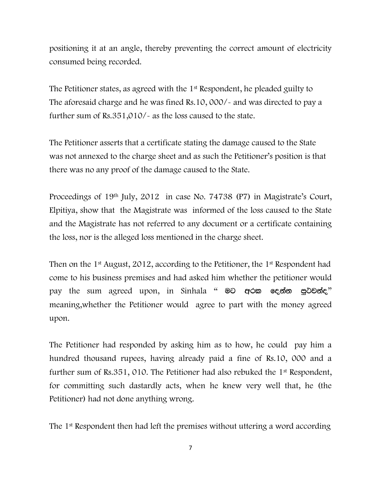positioning it at an angle, thereby preventing the correct amount of electricity consumed being recorded.

The Petitioner states, as agreed with the 1st Respondent, he pleaded guilty to The aforesaid charge and he was fined Rs.10, 000/- and was directed to pay a further sum of Rs.351,010/- as the loss caused to the state.

The Petitioner asserts that a certificate stating the damage caused to the State was not annexed to the charge sheet and as such the Petitioner"s position is that there was no any proof of the damage caused to the State.

Proceedings of 19th July, 2012 in case No. 74738 (P7) in Magistrate's Court, Elpitiya, show that the Magistrate was informed of the loss caused to the State and the Magistrate has not referred to any document or a certificate containing the loss, nor is the alleged loss mentioned in the charge sheet.

Then on the 1<sup>st</sup> August, 2012, according to the Petitioner, the 1<sup>st</sup> Respondent had come to his business premises and had asked him whether the petitioner would pay the sum agreed upon, in Sinhala " මට අරක දෙන්න පුට්වන්ද." meaning,whether the Petitioner would agree to part with the money agreed upon.

The Petitioner had responded by asking him as to how, he could pay him a hundred thousand rupees, having already paid a fine of Rs.10, 000 and a further sum of Rs.351, 010. The Petitioner had also rebuked the 1st Respondent, for committing such dastardly acts, when he knew very well that, he (the Petitioner) had not done anything wrong.

The 1st Respondent then had left the premises without uttering a word according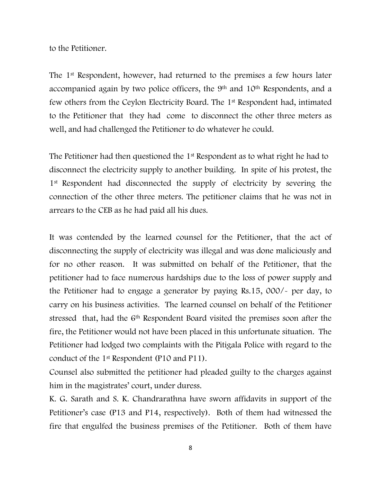to the Petitioner.

The 1st Respondent, however, had returned to the premises a few hours later accompanied again by two police officers, the 9th and 10th Respondents, and a few others from the Ceylon Electricity Board. The 1st Respondent had, intimated to the Petitioner that they had come to disconnect the other three meters as well, and had challenged the Petitioner to do whatever he could.

The Petitioner had then questioned the 1<sup>st</sup> Respondent as to what right he had to disconnect the electricity supply to another building. In spite of his protest, the 1<sup>st</sup> Respondent had disconnected the supply of electricity by severing the connection of the other three meters. The petitioner claims that he was not in arrears to the CEB as he had paid all his dues.

It was contended by the learned counsel for the Petitioner, that the act of disconnecting the supply of electricity was illegal and was done maliciously and for no other reason. It was submitted on behalf of the Petitioner, that the petitioner had to face numerous hardships due to the loss of power supply and the Petitioner had to engage a generator by paying Rs.15, 000/- per day, to carry on his business activities. The learned counsel on behalf of the Petitioner stressed that, had the 6<sup>th</sup> Respondent Board visited the premises soon after the fire, the Petitioner would not have been placed in this unfortunate situation. The Petitioner had lodged two complaints with the Pitigala Police with regard to the conduct of the 1st Respondent (P10 and P11).

Counsel also submitted the petitioner had pleaded guilty to the charges against him in the magistrates' court, under duress.

K. G. Sarath and S. K. Chandrarathna have sworn affidavits in support of the Petitioner"s case (P13 and P14, respectively). Both of them had witnessed the fire that engulfed the business premises of the Petitioner. Both of them have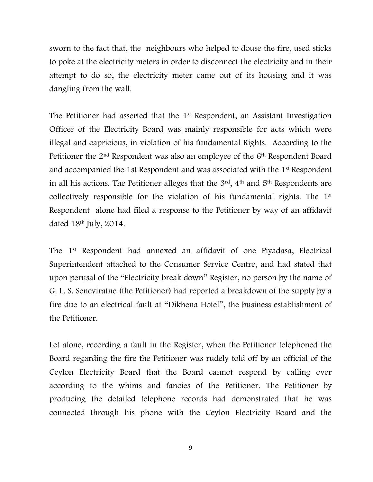sworn to the fact that, the neighbours who helped to douse the fire, used sticks to poke at the electricity meters in order to disconnect the electricity and in their attempt to do so, the electricity meter came out of its housing and it was dangling from the wall.

The Petitioner had asserted that the 1<sup>st</sup> Respondent, an Assistant Investigation Officer of the Electricity Board was mainly responsible for acts which were illegal and capricious, in violation of his fundamental Rights. According to the Petitioner the 2<sup>nd</sup> Respondent was also an employee of the 6<sup>th</sup> Respondent Board and accompanied the 1st Respondent and was associated with the 1st Respondent in all his actions. The Petitioner alleges that the 3rd, 4th and 5th Respondents are collectively responsible for the violation of his fundamental rights. The 1st Respondent alone had filed a response to the Petitioner by way of an affidavit dated 18th July, 2014.

The 1st Respondent had annexed an affidavit of one Piyadasa, Electrical Superintendent attached to the Consumer Service Centre, and had stated that upon perusal of the "Electricity break down" Register, no person by the name of G. L. S. Seneviratne (the Petitioner) had reported a breakdown of the supply by a fire due to an electrical fault at "Dikhena Hotel", the business establishment of the Petitioner.

Let alone, recording a fault in the Register, when the Petitioner telephoned the Board regarding the fire the Petitioner was rudely told off by an official of the Ceylon Electricity Board that the Board cannot respond by calling over according to the whims and fancies of the Petitioner. The Petitioner by producing the detailed telephone records had demonstrated that he was connected through his phone with the Ceylon Electricity Board and the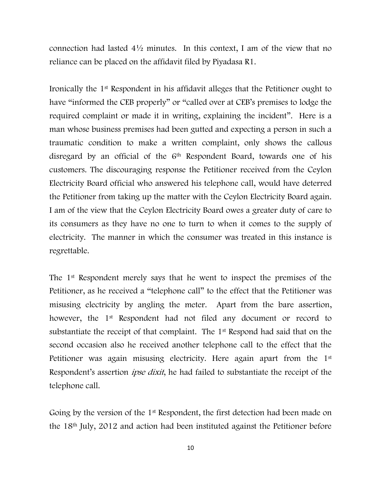connection had lasted 4½ minutes. In this context, I am of the view that no reliance can be placed on the affidavit filed by Piyadasa R1.

Ironically the 1st Respondent in his affidavit alleges that the Petitioner ought to have "informed the CEB properly" or "called over at CEB's premises to lodge the required complaint or made it in writing, explaining the incident". Here is a man whose business premises had been gutted and expecting a person in such a traumatic condition to make a written complaint, only shows the callous disregard by an official of the 6<sup>th</sup> Respondent Board, towards one of his customers. The discouraging response the Petitioner received from the Ceylon Electricity Board official who answered his telephone call, would have deterred the Petitioner from taking up the matter with the Ceylon Electricity Board again. I am of the view that the Ceylon Electricity Board owes a greater duty of care to its consumers as they have no one to turn to when it comes to the supply of electricity. The manner in which the consumer was treated in this instance is regrettable.

The 1st Respondent merely says that he went to inspect the premises of the Petitioner, as he received a "telephone call" to the effect that the Petitioner was misusing electricity by angling the meter. Apart from the bare assertion, however, the 1<sup>st</sup> Respondent had not filed any document or record to substantiate the receipt of that complaint. The 1<sup>st</sup> Respond had said that on the second occasion also he received another telephone call to the effect that the Petitioner was again misusing electricity. Here again apart from the 1<sup>st</sup> Respondent's assertion *ipse dixit*, he had failed to substantiate the receipt of the telephone call.

Going by the version of the 1<sup>st</sup> Respondent, the first detection had been made on the 18th July, 2012 and action had been instituted against the Petitioner before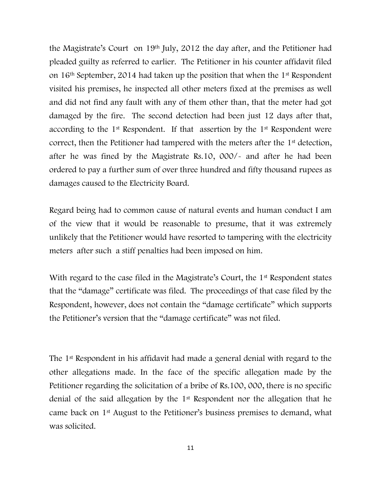the Magistrate's Court on 19<sup>th</sup> July, 2012 the day after, and the Petitioner had pleaded guilty as referred to earlier. The Petitioner in his counter affidavit filed on 16th September, 2014 had taken up the position that when the 1st Respondent visited his premises, he inspected all other meters fixed at the premises as well and did not find any fault with any of them other than, that the meter had got damaged by the fire. The second detection had been just 12 days after that, according to the 1st Respondent. If that assertion by the 1st Respondent were correct, then the Petitioner had tampered with the meters after the 1<sup>st</sup> detection, after he was fined by the Magistrate Rs.10, 000/- and after he had been ordered to pay a further sum of over three hundred and fifty thousand rupees as damages caused to the Electricity Board.

Regard being had to common cause of natural events and human conduct I am of the view that it would be reasonable to presume, that it was extremely unlikely that the Petitioner would have resorted to tampering with the electricity meters after such a stiff penalties had been imposed on him.

With regard to the case filed in the Magistrate's Court, the 1<sup>st</sup> Respondent states that the "damage" certificate was filed. The proceedings of that case filed by the Respondent, however, does not contain the "damage certificate" which supports the Petitioner"s version that the "damage certificate" was not filed.

The 1st Respondent in his affidavit had made a general denial with regard to the other allegations made. In the face of the specific allegation made by the Petitioner regarding the solicitation of a bribe of Rs.100, 000, there is no specific denial of the said allegation by the 1st Respondent nor the allegation that he came back on 1st August to the Petitioner"s business premises to demand, what was solicited.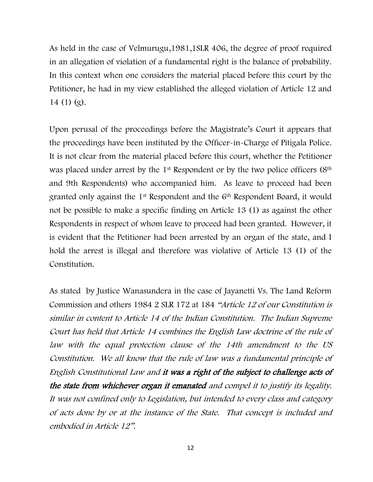As held in the case of Velmurugu,1981,1SLR 406, the degree of proof required in an allegation of violation of a fundamental right is the balance of probability. In this context when one considers the material placed before this court by the Petitioner, he had in my view established the alleged violation of Article 12 and 14 (1) (g).

Upon perusal of the proceedings before the Magistrate"s Court it appears that the proceedings have been instituted by the Officer-in-Charge of Pitigala Police. It is not clear from the material placed before this court, whether the Petitioner was placed under arrest by the 1<sup>st</sup> Respondent or by the two police officers (8<sup>th</sup>) and 9th Respondents) who accompanied him. As leave to proceed had been granted only against the 1st Respondent and the 6th Respondent Board, it would not be possible to make a specific finding on Article 13 (1) as against the other Respondents in respect of whom leave to proceed had been granted. However, it is evident that the Petitioner had been arrested by an organ of the state, and I hold the arrest is illegal and therefore was violative of Article 13 (1) of the Constitution.

As stated by Justice Wanasundera in the case of Jayanetti Vs. The Land Reform Commission and others 1984 2 SLR 172 at 184 "Article 12 of our Constitution is similar in content to Article 14 of the Indian Constitution. The Indian Supreme Court has held that Article 14 combines the English Law doctrine of the rule of law with the equal protection clause of the 14th amendment to the US Constitution. We all know that the rule of law was a fundamental principle of English Constitutional Law and it was a right of the subject to challenge acts of the state from whichever organ it emanated and compel it to justify its legality. It was not confined only to Legislation, but intended to every class and category of acts done by or at the instance of the State. That concept is included and embodied in Article 12".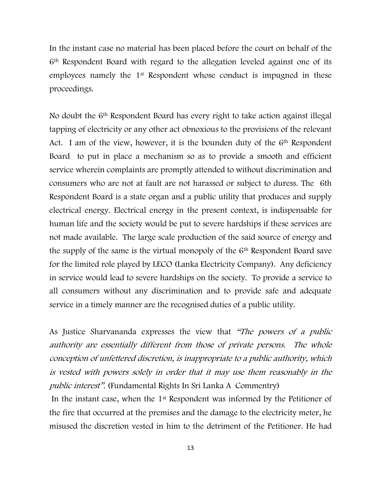In the instant case no material has been placed before the court on behalf of the 6th Respondent Board with regard to the allegation leveled against one of its employees namely the 1st Respondent whose conduct is impugned in these proceedings.

No doubt the 6th Respondent Board has every right to take action against illegal tapping of electricity or any other act obnoxious to the provisions of the relevant Act. I am of the view, however, it is the bounden duty of the 6<sup>th</sup> Respondent Board to put in place a mechanism so as to provide a smooth and efficient service wherein complaints are promptly attended to without discrimination and consumers who are not at fault are not harassed or subject to duress. The 6th Respondent Board is a state organ and a public utility that produces and supply electrical energy. Electrical energy in the present context, is indispensable for human life and the society would be put to severe hardships if these services are not made available. The large scale production of the said source of energy and the supply of the same is the virtual monopoly of the  $6<sup>th</sup>$  Respondent Board save for the limited role played by LECO (Lanka Electricity Company). Any deficiency in service would lead to severe hardships on the society. To provide a service to all consumers without any discrimination and to provide safe and adequate service in a timely manner are the recognised duties of a public utility.

As Justice Sharvananda expresses the view that "The powers of a public authority are essentially different from those of private persons. The whole conception of unfettered discretion, is inappropriate to a public authority, which is vested with powers solely in order that it may use them reasonably in the public interest". (Fundamental Rights In Sri Lanka A Commentry)

In the instant case, when the 1st Respondent was informed by the Petitioner of the fire that occurred at the premises and the damage to the electricity meter, he misused the discretion vested in him to the detriment of the Petitioner. He had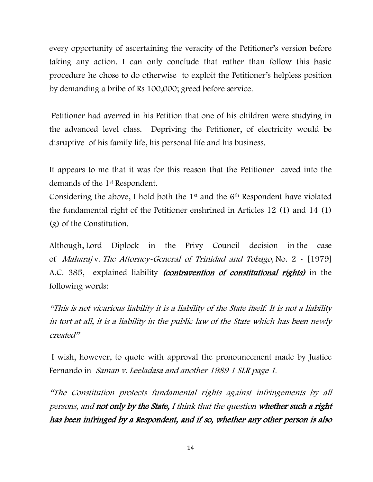every opportunity of ascertaining the veracity of the Petitioner"s version before taking any action. I can only conclude that rather than follow this basic procedure he chose to do otherwise to exploit the Petitioner"s helpless position by demanding a bribe of Rs 100,000; greed before service.

Petitioner had averred in his Petition that one of his children were studying in the advanced level class. Depriving the Petitioner, of electricity would be disruptive of his family life, his personal life and his business.

It appears to me that it was for this reason that the Petitioner caved into the demands of the 1st Respondent.

Considering the above, I hold both the  $1<sup>st</sup>$  and the  $6<sup>th</sup>$  Respondent have violated the fundamental right of the Petitioner enshrined in Articles 12 (1) and 14 (1) (g) of the Constitution.

Although, Lord Diplock in the Privy Council decision in the case of Maharaj v. The Attorney-General of Trinidad and Tobago, No. 2 - [1979] A.C. 385, explained liability *(contravention of constitutional rights)* in the following words:

"This is not vicarious liability it is a liability of the State itself. It is not a liability in tort at all, it is a liability in the public law of the State which has been newly created"

I wish, however, to quote with approval the pronouncement made by Justice Fernando in Saman v. Leeladasa and another 1989 1 SLR page <sup>1</sup>.

"The Constitution protects fundamental rights against infringements by all persons, and not only by the State, I think that the question whether such a right has been infringed by a Respondent, and if so, whether any other person is also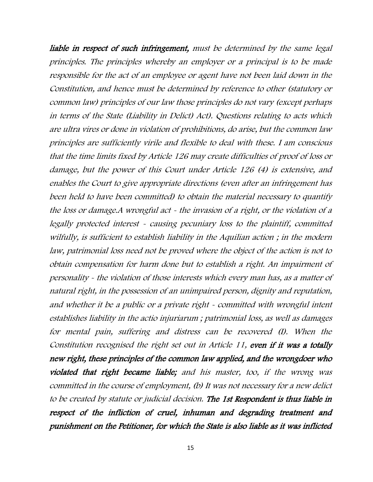liable in respect of such infringement, must be determined by the same legal principles. The principles whereby an employer or a principal is to be made responsible for the act of an employee or agent have not been laid down in the Constitution, and hence must be determined by reference to other (statutory or common law) principles of our law those principles do not vary (except perhaps in terms of the State (Liability in Delict) Act). Questions relating to acts which are ultra vires or done in violation of prohibitions, do arise, but the common law principles are sufficiently virile and flexible to deal with these. I am conscious that the time limits fixed by Article 126 may create difficulties of proof of loss or damage, but the power of this Court under Article 126 (4) is extensive, and enables the Court to give appropriate directions (even after an infringement has been held to have been committed) to obtain the material necessary to quantify the loss or damage.A wrongful act - the invasion of a right, or the violation of a legally protected interest - causing pecuniary loss to the plaintiff, committed wilfully, is sufficient to establish liability in the Aquilian action ; in the modern law, patrimonial loss need not be proved where the object of the action is not to obtain compensation for harm done but to establish a right. An impairment of personality - the violation of those interests which every man has, as a matter of natural right, in the possession of an unimpaired person, dignity and reputation, and whether it be a public or a private right - committed with wrongful intent establishes liability in the actio injuriarum ; patrimonial loss, as well as damages for mental pain, suffering and distress can be recovered (I). When the Constitution recognised the right set out in Article 11, even if it was a totally new right, these principles of the common law applied, and the wrongdoer who violated that right became liable; and his master, too, if the wrong was committed in the course of employment, (b) It was not necessary for a new delict to be created by statute or judicial decision. The 1st Respondent is thus liable in respect of the infliction of cruel, inhuman and degrading treatment and punishment on the Petitioner, for which the State is also liable as it was inflicted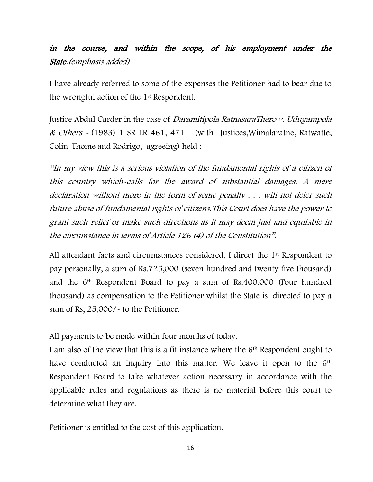## in the course, and within the scope, of his employment under the State.(emphasis added)

I have already referred to some of the expenses the Petitioner had to bear due to the wrongful action of the 1st Respondent.

Justice Abdul Carder in the case of Daramitipola RatnasaraThero v. Udugampola & Others  $\sim$  (1983) 1 SR LR 461, 471 (with Justices, Wimalaratne, Ratwatte, Colin-Thome and Rodrigo, agreeing) held :

"In my view this is a serious violation of the fundamental rights of a citizen of this country which-calls for the award of substantial damages. A mere declaration without more in the form of some penalty . . . will not deter such future abuse of fundamental rights of citizens.This Court does have the power to grant such relief or make such directions as it may deem just and equitable in the circumstance in terms of Article 126 (4) of the Constitution".

All attendant facts and circumstances considered, I direct the 1st Respondent to pay personally, a sum of Rs.725,000 (seven hundred and twenty five thousand) and the 6th Respondent Board to pay a sum of Rs.400,000 (Four hundred thousand) as compensation to the Petitioner whilst the State is directed to pay a sum of Rs, 25,000/- to the Petitioner.

All payments to be made within four months of today.

I am also of the view that this is a fit instance where the 6th Respondent ought to have conducted an inquiry into this matter. We leave it open to the 6<sup>th</sup> Respondent Board to take whatever action necessary in accordance with the applicable rules and regulations as there is no material before this court to determine what they are.

Petitioner is entitled to the cost of this application.